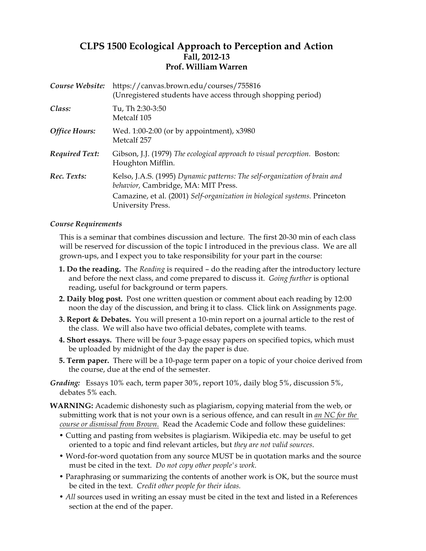# **CLPS 1500 Ecological Approach to Perception and Action Fall, 2012-13 Prof. William Warren**

| Course Website:       | https://canvas.brown.edu/courses/755816<br>(Unregistered students have access through shopping period)           |
|-----------------------|------------------------------------------------------------------------------------------------------------------|
| Class:                | Tu, Th 2:30-3:50<br>Metcalf 105                                                                                  |
| <b>Office Hours:</b>  | Wed. 1:00-2:00 (or by appointment), x3980<br>Metcalf 257                                                         |
| <b>Required Text:</b> | Gibson, J.J. (1979) The ecological approach to visual perception. Boston:<br>Houghton Mifflin.                   |
| Rec. Texts:           | Kelso, J.A.S. (1995) Dynamic patterns: The self-organization of brain and<br>behavior, Cambridge, MA: MIT Press. |
|                       | Camazine, et al. (2001) Self-organization in biological systems. Princeton<br>University Press.                  |

## *Course Requirements*

This is a seminar that combines discussion and lecture. The first 20-30 min of each class will be reserved for discussion of the topic I introduced in the previous class. We are all grown-ups, and I expect you to take responsibility for your part in the course:

- **1. Do the reading.** The *Reading* is required do the reading after the introductory lecture and before the next class, and come prepared to discuss it. *Going further* is optional reading, useful for background or term papers.
- **2. Daily blog post.** Post one written question or comment about each reading by 12:00 noon the day of the discussion, and bring it to class. Click link on Assignments page.
- **3. Report & Debates.** You will present a 10-min report on a journal article to the rest of the class. We will also have two official debates, complete with teams.
- **4. Short essays.** There will be four 3-page essay papers on specified topics, which must be uploaded by midnight of the day the paper is due.
- **5. Term paper.** There will be a 10-page term paper on a topic of your choice derived from the course, due at the end of the semester.

*Grading:* Essays 10% each, term paper 30%, report 10%, daily blog 5%, discussion 5%, debates 5% each.

- **WARNING:** Academic dishonesty such as plagiarism, copying material from the web, or submitting work that is not your own is a serious offence, and can result in *an NC for the course or dismissal from Brown.* Read the Academic Code and follow these guidelines:
	- Cutting and pasting from websites is plagiarism. Wikipedia etc. may be useful to get oriented to a topic and find relevant articles, but *they are not valid sources*.
	- Word-for-word quotation from any source MUST be in quotation marks and the source must be cited in the text. *Do not copy other people's work.*
	- Paraphrasing or summarizing the contents of another work is OK, but the source must be cited in the text. *Credit other people for their ideas.*
	- *All* sources used in writing an essay must be cited in the text and listed in a References section at the end of the paper.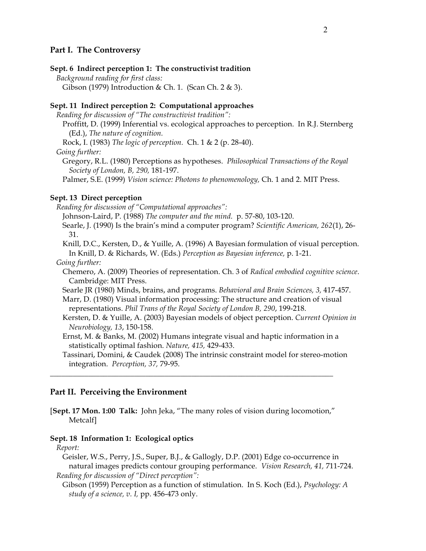## **Part I. The Controversy**

## **Sept. 6 Indirect perception 1: The constructivist tradition**

*Background reading for first class:*  Gibson (1979) Introduction & Ch. 1. (Scan Ch. 2 & 3).

### **Sept. 11 Indirect perception 2: Computational approaches**

*Reading for discussion of "The constructivist tradition":*

Proffitt, D. (1999) Inferential vs. ecological approaches to perception. In R.J. Sternberg (Ed.), *The nature of cognition.*

Rock, I. (1983) *The logic of perception.* Ch. 1 & 2 (p. 28-40).

*Going further:*

Gregory, R.L. (1980) Perceptions as hypotheses. *Philosophical Transactions of the Royal Society of London, B, 290,* 181-197.

Palmer, S.E. (1999) *Vision science: Photons to phenomenology,* Ch. 1 and 2. MIT Press.

#### **Sept. 13 Direct perception**

*Reading for discussion of "Computational approaches":* 

Johnson-Laird, P. (1988) *The computer and the mind.* p. 57-80, 103-120.

Searle, J. (1990) Is the brain's mind a computer program? *Scientific American, 262*(1), 26- 31.

Knill, D.C., Kersten, D., & Yuille, A. (1996) A Bayesian formulation of visual perception. In Knill, D. & Richards, W. (Eds.) *Perception as Bayesian inference,* p. 1-21.

#### *Going further:*

Chemero, A. (2009) Theories of representation. Ch. 3 of *Radical embodied cognitive science*. Cambridge: MIT Press.

Searle JR (1980) Minds, brains, and programs. *Behavioral and Brain Sciences, 3,* 417-457.

Marr, D. (1980) Visual information processing: The structure and creation of visual representations. *Phil Trans of the Royal Society of London B, 290*, 199-218.

Kersten, D. & Yuille, A. (2003) Bayesian models of object perception. *Current Opinion in Neurobiology, 13*, 150-158.

Ernst, M. & Banks, M. (2002) Humans integrate visual and haptic information in a statistically optimal fashion. *Nature, 415,* 429-433.

Tassinari, Domini, & Caudek (2008) The intrinsic constraint model for stereo-motion integration. *Perception, 37,* 79-95.

## **Part II. Perceiving the Environment**

[**Sept. 17 Mon. 1:00 Talk:** John Jeka, "The many roles of vision during locomotion," Metcalf]

\_\_\_\_\_\_\_\_\_\_\_\_\_\_\_\_\_\_\_\_\_\_\_\_\_\_\_\_\_\_\_\_\_\_\_\_\_\_\_\_\_\_\_\_\_\_\_\_\_\_\_\_\_\_\_\_\_\_\_\_\_\_\_\_\_\_\_\_\_\_\_\_\_\_

### **Sept. 18 Information 1: Ecological optics**

#### *Report:*

Geisler, W.S., Perry, J.S., Super, B.J., & Gallogly, D.P. (2001) Edge co-occurrence in natural images predicts contour grouping performance. *Vision Research, 41,* 711-724. *Reading for discussion of "Direct perception":* 

Gibson (1959) Perception as a function of stimulation. In S. Koch (Ed.), *Psychology: A study of a science, v. I,* pp. 456-473 only.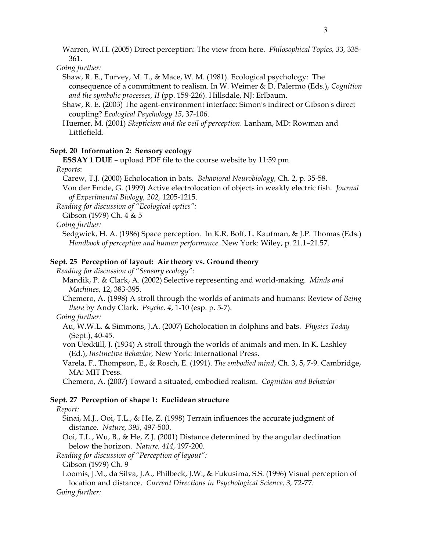Warren, W.H. (2005) Direct perception: The view from here. *Philosophical Topics, 33,* 335- 361.

*Going further:*

Shaw, R. E., Turvey, M. T., & Mace, W. M. (1981). Ecological psychology: The consequence of a commitment to realism. In W. Weimer & D. Palermo (Eds.), *Cognition and the symbolic processes, II* (pp. 159-226). Hillsdale, NJ: Erlbaum.

Shaw, R. E. (2003) The agent-environment interface: Simon's indirect or Gibson's direct coupling? *Ecological Psychology 15*, 37-106.

Huemer, M. (2001) *Skepticism and the veil of perception.* Lanham, MD: Rowman and Littlefield.

### **Sept. 20 Information 2: Sensory ecology**

**ESSAY 1 DUE** – upload PDF file to the course website by 11:59 pm

### *Reports*:

Carew, T.J. (2000) Echolocation in bats. *Behavioral Neurobiology,* Ch. 2, p. 35-58.

Von der Emde, G. (1999) Active electrolocation of objects in weakly electric fish. *Journal of Experimental Biology, 202,* 1205-1215.

*Reading for discussion of "Ecological optics":*

Gibson (1979) Ch. 4 & 5

*Going further:*

Sedgwick, H. A. (1986) Space perception. In K.R. Boff, L. Kaufman, & J.P. Thomas (Eds.) *Handbook of perception and human performance.* New York: Wiley, p. 21.1–21.57.

## **Sept. 25 Perception of layout: Air theory vs. Ground theory**

*Reading for discussion of "Sensory ecology":*

Mandik, P. & Clark, A. (2002) Selective representing and world-making. *Minds and Machines*, 12, 383-395.

Chemero, A. (1998) A stroll through the worlds of animats and humans: Review of *Being there* by Andy Clark. *Psyche, 4*, 1-10 (esp. p. 5-7).

*Going further:*

Au, W.W.L. & Simmons, J.A. (2007) Echolocation in dolphins and bats. *Physics Today*  (Sept.), 40-45.

von Uexküll, J. (1934) A stroll through the worlds of animals and men. In K. Lashley (Ed.), *Instinctive Behavior,* New York: International Press.

Varela, F., Thompson, E., & Rosch, E. (1991). *The embodied mind*, Ch. 3, 5, 7-9. Cambridge, MA: MIT Press.

Chemero, A. (2007) Toward a situated, embodied realism. *Cognition and Behavior*

#### **Sept. 27 Perception of shape 1: Euclidean structure**

*Report:* 

Sinai, M.J., Ooi, T.L., & He, Z. (1998) Terrain influences the accurate judgment of distance. *Nature, 395,* 497-500.

Ooi, T.L., Wu, B., & He, Z.J. (2001) Distance determined by the angular declination below the horizon. *Nature, 414,* 197-200.

*Reading for discussion of "Perception of layout":*

Gibson (1979) Ch. 9

Loomis, J.M., da Silva, J.A., Philbeck, J.W., & Fukusima, S.S. (1996) Visual perception of location and distance. *Current Directions in Psychological Science, 3,* 72-77.

*Going further:*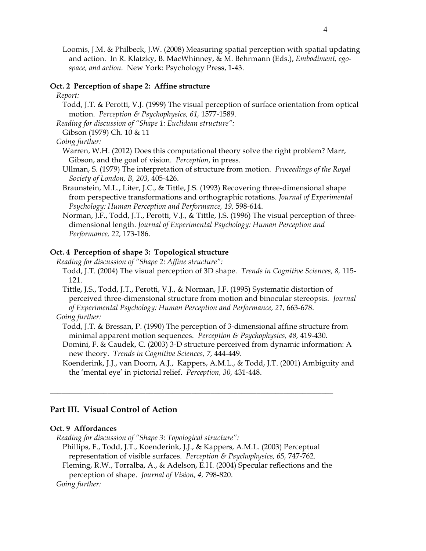Loomis, J.M. & Philbeck, J.W. (2008) Measuring spatial perception with spatial updating and action. In R. Klatzky, B. MacWhinney, & M. Behrmann (Eds.), *Embodiment, egospace, and action.* New York: Psychology Press, 1-43.

#### **Oct. 2 Perception of shape 2: Affine structure**

#### *Report:*

Todd, J.T. & Perotti, V.J. (1999) The visual perception of surface orientation from optical motion. *Perception & Psychophysics, 61,* 1577-1589.

*Reading for discussion of "Shape 1: Euclidean structure":*

Gibson (1979) Ch. 10 & 11

### *Going further:*

- Warren, W.H. (2012) Does this computational theory solve the right problem? Marr, Gibson, and the goal of vision. *Perception*, in press.
- Ullman, S. (1979) The interpretation of structure from motion. *Proceedings of the Royal Society of London, B, 203,* 405-426.
- Braunstein, M.L., Liter, J.C., & Tittle, J.S. (1993) Recovering three-dimensional shape from perspective transformations and orthographic rotations. *Journal of Experimental Psychology: Human Perception and Performance, 19,* 598-614.
- Norman, J.F., Todd, J.T., Perotti, V.J., & Tittle, J.S. (1996) The visual perception of threedimensional length. *Journal of Experimental Psychology: Human Perception and Performance, 22,* 173-186.

### **Oct. 4 Perception of shape 3: Topological structure**

- *Reading for discussion of "Shape 2: Affine structure":*
	- Todd, J.T. (2004) The visual perception of 3D shape. *Trends in Cognitive Sciences, 8,* 115- 121.
	- Tittle, J.S., Todd, J.T., Perotti, V.J., & Norman, J.F. (1995) Systematic distortion of perceived three-dimensional structure from motion and binocular stereopsis. *Journal of Experimental Psychology: Human Perception and Performance, 21,* 663-678.

*Going further:*

Todd, J.T. & Bressan, P. (1990) The perception of 3-dimensional affine structure from minimal apparent motion sequences. *Perception & Psychophysics, 48,* 419-430.

Domini, F. & Caudek, C. (2003) 3-D structure perceived from dynamic information: A new theory. *Trends in Cognitive Sciences, 7,* 444-449.

Koenderink, J.J., van Doorn, A.J., Kappers, A.M.L., & Todd, J.T. (2001) Ambiguity and the 'mental eye' in pictorial relief. *Perception, 30,* 431-448.

## **Part III. Visual Control of Action**

### **Oct. 9 Affordances**

*Reading for discussion of "Shape 3: Topological structure":*

Phillips, F., Todd, J.T., Koenderink, J.J., & Kappers, A.M.L. (2003) Perceptual representation of visible surfaces. *Perception & Psychophysics, 65,* 747-762.

 $\overline{\phantom{a}}$  , and the contribution of the contribution of the contribution of the contribution of the contribution of the contribution of the contribution of the contribution of the contribution of the contribution of the

Fleming, R.W., Torralba, A., & Adelson, E.H. (2004) Specular reflections and the perception of shape. *Journal of Vision, 4,* 798-820.

*Going further:*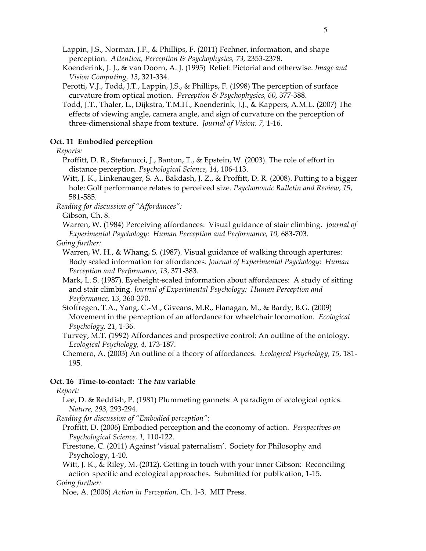Lappin, J.S., Norman, J.F., & Phillips, F. (2011) Fechner, information, and shape perception. *Attention, Perception & Psychophysics, 73,* 2353-2378.

Koenderink, J. J., & van Doorn, A. J. (1995) Relief: Pictorial and otherwise. *Image and Vision Computing, 13*, 321-334.

- Perotti, V.J., Todd, J.T., Lappin, J.S., & Phillips, F. (1998) The perception of surface curvature from optical motion. *Perception & Psychophysics, 60,* 377-388.
- Todd, J.T., Thaler, L., Dijkstra, T.M.H., Koenderink, J.J., & Kappers, A.M.L. (2007) The effects of viewing angle, camera angle, and sign of curvature on the perception of three-dimensional shape from texture. *Journal of Vision, 7,* 1-16.

### **Oct. 11 Embodied perception**

*Reports:*

- Proffitt, D. R., Stefanucci, J., Banton, T., & Epstein, W. (2003). The role of effort in distance perception. *Psychological Science, 14*, 106-113.
- Witt, J. K., Linkenauger, S. A., Bakdash, J. Z., & Proffitt, D. R. (2008). Putting to a bigger hole: Golf performance relates to perceived size. *Psychonomic Bulletin and Review*, *15*, 581‐585.
- *Reading for discussion of "Affordances":*

Gibson, Ch. 8.

Warren, W. (1984) Perceiving affordances: Visual guidance of stair climbing. *Journal of Experimental Psychology: Human Perception and Performance, 10,* 683-703.

- *Going further:*
	- Warren, W. H., & Whang, S. (1987). Visual guidance of walking through apertures: Body scaled information for affordances. *Journal of Experimental Psychology: Human Perception and Performance, 13*, 371-383.
	- Mark, L. S. (1987). Eyeheight-scaled information about affordances: A study of sitting and stair climbing. *Journal of Experimental Psychology: Human Perception and Performance, 13*, 360-370.

Stoffregen, T.A., Yang, C.-M., Giveans, M.R., Flanagan, M., & Bardy, B.G. (2009) Movement in the perception of an affordance for wheelchair locomotion. *Ecological Psychology, 21,* 1-36.

Turvey, M.T. (1992) Affordances and prospective control: An outline of the ontology. *Ecological Psychology, 4,* 173-187.

Chemero, A. (2003) An outline of a theory of affordances. *Ecological Psychology, 15,* 181- 195.

#### **Oct. 16 Time-to-contact: The** *tau* **variable**

#### *Report:*

Lee, D. & Reddish, P. (1981) Plummeting gannets: A paradigm of ecological optics. *Nature, 293,* 293-294.

*Reading for discussion of "Embodied perception":*

- Proffitt, D. (2006) Embodied perception and the economy of action. *Perspectives on Psychological Science, 1,* 110-122.
- Firestone, C. (2011) Against 'visual paternalism'. Society for Philosophy and Psychology, 1-10.
- Witt, J. K., & Riley, M. (2012). Getting in touch with your inner Gibson: Reconciling action‐specific and ecological approaches. Submitted for publication, 1-15.

#### *Going further:*

Noe, A. (2006) *Action in Perception,* Ch. 1-3. MIT Press.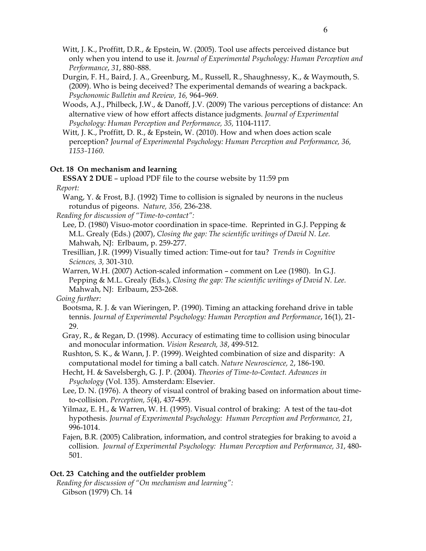Witt, J. K., Proffitt, D.R., & Epstein, W. (2005). Tool use affects perceived distance but only when you intend to use it. *Journal of Experimental Psychology: Human Perception and Performance*, *31*, 880‐888.

Durgin, F. H., Baird, J. A., Greenburg, M., Russell, R., Shaughnessy, K., & Waymouth, S. (2009). Who is being deceived? The experimental demands of wearing a backpack. *Psychonomic Bulletin and Review, 16,* 964–969.

Woods, A.J., Philbeck, J.W., & Danoff, J.V. (2009) The various perceptions of distance: An alternative view of how effort affects distance judgments. *Journal of Experimental Psychology: Human Perception and Performance, 35,* 1104-1117.

Witt, J. K., Proffitt, D. R., & Epstein, W. (2010). How and when does action scale perception? *Journal of Experimental Psychology: Human Perception and Performance, 36, 1153‐1160.*

## **Oct. 18 On mechanism and learning**

**ESSAY 2 DUE** – upload PDF file to the course website by 11:59 pm *Report:*

Wang, Y. & Frost, B.J. (1992) Time to collision is signaled by neurons in the nucleus rotundus of pigeons. *Nature, 356,* 236-238.

*Reading for discussion of "Time-to-contact":*

- Lee, D. (1980) Visuo-motor coordination in space-time. Reprinted in G.J. Pepping & M.L. Grealy (Eds.) (2007), *Closing the gap: The scientific writings of David N. Lee.* Mahwah, NJ: Erlbaum, p. 259-277.
- Tresillian, J.R. (1999) Visually timed action: Time-out for tau? *Trends in Cognitive Sciences, 3,* 301-310.
- Warren, W.H. (2007) Action-scaled information comment on Lee (1980). In G.J. Pepping & M.L. Grealy (Eds.), *Closing the gap: The scientific writings of David N. Lee.* Mahwah, NJ: Erlbaum, 253-268.

*Going further:*

- Bootsma, R. J. & van Wieringen, P. (1990). Timing an attacking forehand drive in table tennis. *Journal of Experimental Psychology: Human Perception and Performance*, 16(1), 21- 29.
- Gray, R., & Regan, D. (1998). Accuracy of estimating time to collision using binocular and monocular information. *Vision Research, 38*, 499-512.

Rushton, S. K., & Wann, J. P. (1999). Weighted combination of size and disparity: A computational model for timing a ball catch. *Nature Neuroscience, 2*, 186-190.

Hecht, H. & Savelsbergh, G. J. P. (2004). *Theories of Time-to-Contact. Advances in Psychology* (Vol. 135). Amsterdam: Elsevier.

Lee, D. N. (1976). A theory of visual control of braking based on information about timeto-collision. *Perception, 5*(4), 437-459.

Yilmaz, E. H., & Warren, W. H. (1995). Visual control of braking: A test of the tau-dot hypothesis. *Journal of Experimental Psychology: Human Perception and Performance, 21*, 996-1014.

Fajen, B.R. (2005) Calibration, information, and control strategies for braking to avoid a collision. *Journal of Experimental Psychology: Human Perception and Performance, 31*, 480- 501.

## **Oct. 23 Catching and the outfielder problem**

*Reading for discussion of "On mechanism and learning":* Gibson (1979) Ch. 14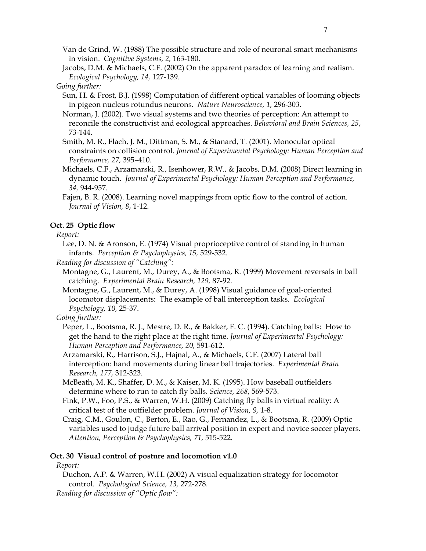Van de Grind, W. (1988) The possible structure and role of neuronal smart mechanisms in vision. *Cognitive Systems, 2,* 163-180.

Jacobs, D.M. & Michaels, C.F. (2002) On the apparent paradox of learning and realism. *Ecological Psychology, 14,* 127-139.

*Going further:*

Sun, H. & Frost, B.J. (1998) Computation of different optical variables of looming objects in pigeon nucleus rotundus neurons. *Nature Neuroscience, 1,* 296-303.

Norman, J. (2002). Two visual systems and two theories of perception: An attempt to reconcile the constructivist and ecological approaches. *Behavioral and Brain Sciences, 25*, 73-144.

Smith, M. R., Flach, J. M., Dittman, S. M., & Stanard, T. (2001). Monocular optical constraints on collision control. *Journal of Experimental Psychology: Human Perception and Performance, 27,* 395–410.

Michaels, C.F., Arzamarski, R., Isenhower, R.W., & Jacobs, D.M. (2008) Direct learning in dynamic touch. *Journal of Experimental Psychology: Human Perception and Performance, 34,* 944-957.

Fajen, B. R. (2008). Learning novel mappings from optic flow to the control of action. *Journal of Vision, 8*, 1-12.

## **Oct. 25 Optic flow**

*Report:*

- Lee, D. N. & Aronson, E. (1974) Visual proprioceptive control of standing in human infants. *Perception & Psychophysics, 15,* 529-532.
- *Reading for discussion of "Catching":*

Montagne, G., Laurent, M., Durey, A., & Bootsma, R. (1999) Movement reversals in ball catching. *Experimental Brain Research, 129,* 87-92.

Montagne, G., Laurent, M., & Durey, A. (1998) Visual guidance of goal-oriented locomotor displacements: The example of ball interception tasks. *Ecological Psychology, 10,* 25-37.

## *Going further:*

- Peper, L., Bootsma, R. J., Mestre, D. R., & Bakker, F. C. (1994). Catching balls: How to get the hand to the right place at the right time. *Journal of Experimental Psychology: Human Perception and Performance, 20,* 591-612.
- Arzamarski, R., Harrison, S.J., Hajnal, A., & Michaels, C.F. (2007) Lateral ball interception: hand movements during linear ball trajectories. *Experimental Brain Research, 177,* 312-323.
- McBeath, M. K., Shaffer, D. M., & Kaiser, M. K. (1995). How baseball outfielders determine where to run to catch fly balls. *Science, 268*, 569-573.
- Fink, P.W., Foo, P.S., & Warren, W.H. (2009) Catching fly balls in virtual reality: A critical test of the outfielder problem. *Journal of Vision, 9,* 1-8.

Craig, C.M., Goulon, C., Berton, E., Rao, G., Fernandez, L., & Bootsma, R. (2009) Optic variables used to judge future ball arrival position in expert and novice soccer players. *Attention, Perception & Psychophysics, 71,* 515-522.

## **Oct. 30 Visual control of posture and locomotion v1.0**

*Report:*

Duchon, A.P. & Warren, W.H. (2002) A visual equalization strategy for locomotor control. *Psychological Science, 13,* 272-278. *Reading for discussion of "Optic flow":*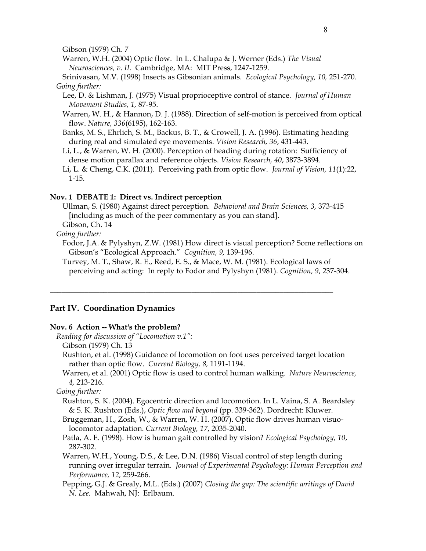Gibson (1979) Ch. 7

Warren, W.H. (2004) Optic flow. In L. Chalupa & J. Werner (Eds.) *The Visual Neurosciences, v. II.* Cambridge, MA: MIT Press, 1247-1259.

Srinivasan, M.V. (1998) Insects as Gibsonian animals. *Ecological Psychology, 10,* 251-270. *Going further:*

- Lee, D. & Lishman, J. (1975) Visual proprioceptive control of stance. *Journal of Human Movement Studies, 1,* 87-95.
- Warren, W. H., & Hannon, D. J. (1988). Direction of self-motion is perceived from optical flow. *Nature, 336*(6195), 162-163.
- Banks, M. S., Ehrlich, S. M., Backus, B. T., & Crowell, J. A. (1996). Estimating heading during real and simulated eye movements. *Vision Research, 36*, 431-443.
- Li, L., & Warren, W. H. (2000). Perception of heading during rotation: Sufficiency of dense motion parallax and reference objects. *Vision Research, 40*, 3873-3894.
- Li, L. & Cheng, C.K. (2011). Perceiving path from optic flow. *Journal of Vision, 11*(1):22, 1-15.

### **Nov. 1 DEBATE 1: Direct vs. Indirect perception**

Ullman, S. (1980) Against direct perception. *Behavioral and Brain Sciences, 3,* 373-415 [including as much of the peer commentary as you can stand].

Gibson, Ch. 14

### *Going further:*

Fodor, J.A. & Pylyshyn, Z.W. (1981) How direct is visual perception? Some reflections on Gibson's "Ecological Approach." *Cognition, 9,* 139-196.

Turvey, M. T., Shaw, R. E., Reed, E. S., & Mace, W. M. (1981). Ecological laws of perceiving and acting: In reply to Fodor and Pylyshyn (1981). *Cognition, 9*, 237-304.

\_\_\_\_\_\_\_\_\_\_\_\_\_\_\_\_\_\_\_\_\_\_\_\_\_\_\_\_\_\_\_\_\_\_\_\_\_\_\_\_\_\_\_\_\_\_\_\_\_\_\_\_\_\_\_\_\_\_\_\_\_\_\_\_\_\_\_\_\_\_\_\_\_\_

#### **Part IV. Coordination Dynamics**

### **Nov. 6 Action -- What's the problem?**

- *Reading for discussion of "Locomotion v.1":*
	- Gibson (1979) Ch. 13

Rushton, et al. (1998) Guidance of locomotion on foot uses perceived target location rather than optic flow. *Current Biology, 8,* 1191-1194.

Warren, et al. (2001) Optic flow is used to control human walking. *Nature Neuroscience, 4,* 213-216.

*Going further:*

- Rushton, S. K. (2004). Egocentric direction and locomotion. In L. Vaina, S. A. Beardsley & S. K. Rushton (Eds.), *Optic flow and beyond* (pp. 339-362). Dordrecht: Kluwer.
- Bruggeman, H., Zosh, W., & Warren, W. H. (2007). Optic flow drives human visuolocomotor adaptation. *Current Biology, 17*, 2035-2040.
- Patla, A. E. (1998). How is human gait controlled by vision? *Ecological Psychology, 10*, 287-302.
- Warren, W.H., Young, D.S., & Lee, D.N. (1986) Visual control of step length during running over irregular terrain. *Journal of Experimental Psychology: Human Perception and Performance, 12,* 259-266.
- Pepping, G.J. & Grealy, M.L. (Eds.) (2007) *Closing the gap: The scientific writings of David N. Lee.* Mahwah, NJ: Erlbaum.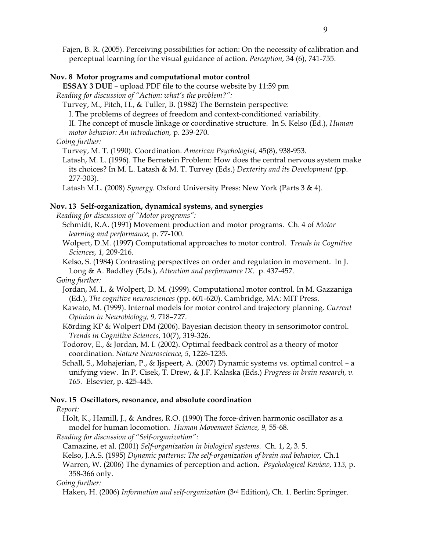Fajen, B. R. (2005). Perceiving possibilities for action: On the necessity of calibration and perceptual learning for the visual guidance of action. *Perception,* 34 (6), 741-755.

#### **Nov. 8 Motor programs and computational motor control**

**ESSAY 3 DUE** – upload PDF file to the course website by 11:59 pm

*Reading for discussion of "Action: what's the problem?":*

Turvey, M., Fitch, H., & Tuller, B. (1982) The Bernstein perspective:

I. The problems of degrees of freedom and context-conditioned variability.

II. The concept of muscle linkage or coordinative structure. In S. Kelso (Ed.), *Human motor behavior: An introduction,* p. 239-270.

*Going further:*

Turvey, M. T. (1990). Coordination. *American Psychologist*, 45(8), 938-953.

Latash, M. L. (1996). The Bernstein Problem: How does the central nervous system make its choices? In M. L. Latash & M. T. Turvey (Eds.) *Dexterity and its Development* (pp. 277-303).

Latash M.L. (2008) *Synergy*. Oxford University Press: New York (Parts 3 & 4).

### **Nov. 13 Self-organization, dynamical systems, and synergies**

*Reading for discussion of "Motor programs":*

Schmidt, R.A. (1991) Movement production and motor programs. Ch. 4 of *Motor learning and performance,* p. 77-100.

Wolpert, D.M. (1997) Computational approaches to motor control. *Trends in Cognitive Sciences, 1,* 209-216.

Kelso, S. (1984) Contrasting perspectives on order and regulation in movement. In J. Long & A. Baddley (Eds.), *Attention and performance IX.* p. 437-457.

*Going further:*

- Jordan, M. I., & Wolpert, D. M. (1999). Computational motor control. In M. Gazzaniga (Ed.), *The cognitive neurosciences* (pp. 601-620). Cambridge, MA: MIT Press.
- Kawato, M. (1999). Internal models for motor control and trajectory planning. *Current Opinion in Neurobiology, 9,* 718–727.
- Körding KP & Wolpert DM (2006). Bayesian decision theory in sensorimotor control. *Trends in Cognitive Sciences*, 10(7), 319-326.
- Todorov, E., & Jordan, M. I. (2002). Optimal feedback control as a theory of motor coordination. *Nature Neuroscience, 5*, 1226-1235.

Schall, S., Mohajerian, P., & Ijspeert, A. (2007) Dynamic systems vs. optimal control – a unifying view. In P. Cisek, T. Drew, & J.F. Kalaska (Eds.) *Progress in brain research, v. 165.* Elsevier, p. 425-445.

#### **Nov. 15 Oscillators, resonance, and absolute coordination**

*Report:*

Holt, K., Hamill, J., & Andres, R.O. (1990) The force-driven harmonic oscillator as a model for human locomotion. *Human Movement Science, 9,* 55-68.

*Reading for discussion of "Self-organization":*

Camazine, et al. (2001) *Self-organization in biological systems.* Ch. 1, 2, 3. 5.

Kelso, J.A.S. (1995) *Dynamic patterns: The self-organization of brain and behavior,* Ch.1

Warren, W. (2006) The dynamics of perception and action. *Psychological Review, 113,* p. 358-366 only.

#### *Going further:*

Haken, H. (2006) *Information and self-organization* (3rd Edition), Ch. 1. Berlin: Springer.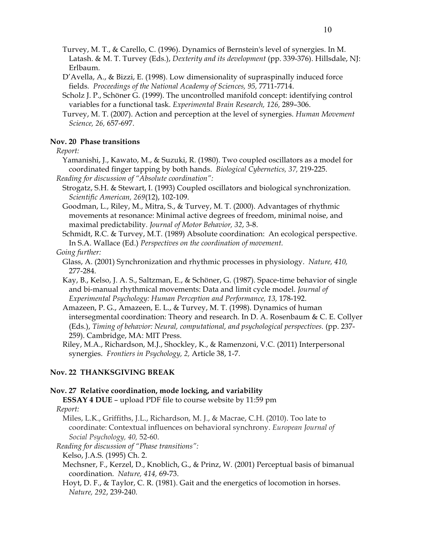Turvey, M. T., & Carello, C. (1996). Dynamics of Bernstein's level of synergies. In M. Latash. & M. T. Turvey (Eds.), *Dexterity and its development* (pp. 339-376). Hillsdale, NJ: Erlbaum.

- D'Avella, A., & Bizzi, E. (1998). Low dimensionality of supraspinally induced force fields*. Proceedings of the National Academy of Sciences, 95,* 7711-7714.
- Scholz J. P., Schöner G. (1999). The uncontrolled manifold concept: identifying control variables for a functional task. *Experimental Brain Research, 126,* 289–306.
- Turvey, M. T. (2007). Action and perception at the level of synergies. *Human Movement Science, 26,* 657-697.

## **Nov. 20 Phase transitions**

*Report:*

- Yamanishi, J., Kawato, M., & Suzuki, R. (1980). Two coupled oscillators as a model for coordinated finger tapping by both hands. *Biological Cybernetics, 37,* 219-225.
- *Reading for discussion of "Absolute coordination":*
	- Strogatz, S.H. & Stewart, I. (1993) Coupled oscillators and biological synchronization. *Scientific American, 269*(12), 102-109.
	- Goodman, L., Riley, M., Mitra, S., & Turvey, M. T. (2000). Advantages of rhythmic movements at resonance: Minimal active degrees of freedom, minimal noise, and maximal predictability*. Journal of Motor Behavior, 32*, 3-8.

Schmidt, R.C. & Turvey, M.T. (1989) Absolute coordination: An ecological perspective. In S.A. Wallace (Ed.) *Perspectives on the coordination of movement.*

- *Going further:*
	- Glass, A. (2001) Synchronization and rhythmic processes in physiology. *Nature, 410,*  277-284.
	- Kay, B., Kelso, J. A. S., Saltzman, E., & Schöner, G. (1987). Space-time behavior of single and bi-manual rhythmical movements: Data and limit cycle model. *Journal of Experimental Psychology: Human Perception and Performance, 13,* 178-192.
	- Amazeen, P. G., Amazeen, E. L., & Turvey, M. T. (1998). Dynamics of human intersegmental coordination: Theory and research. In D. A. Rosenbaum & C. E. Collyer (Eds.), *Timing of behavior: Neural, computational, and psychological perspectives.* (pp. 237- 259). Cambridge, MA: MIT Press.
	- Riley, M.A., Richardson, M.J., Shockley, K., & Ramenzoni, V.C. (2011) Interpersonal synergies. *Frontiers in Psychology, 2,* Article 38, 1-7.

### **Nov. 22 THANKSGIVING BREAK**

#### **Nov. 27 Relative coordination, mode locking, and variability**

**ESSAY 4 DUE** – upload PDF file to course website by 11:59 pm *Report:*

Miles, L.K., Griffiths, J.L., Richardson, M. J., & Macrae, C.H. (2010). Too late to coordinate: Contextual influences on behavioral synchrony. *European Journal of Social Psychology, 40,* 52-60.

- *Reading for discussion of "Phase transitions":*
- Kelso, J.A.S. (1995) Ch. 2.
- Mechsner, F., Kerzel, D., Knoblich, G., & Prinz, W. (2001) Perceptual basis of bimanual coordination. *Nature, 414,* 69-73.
- Hoyt, D. F., & Taylor, C. R. (1981). Gait and the energetics of locomotion in horses. *Nature, 292*, 239-240.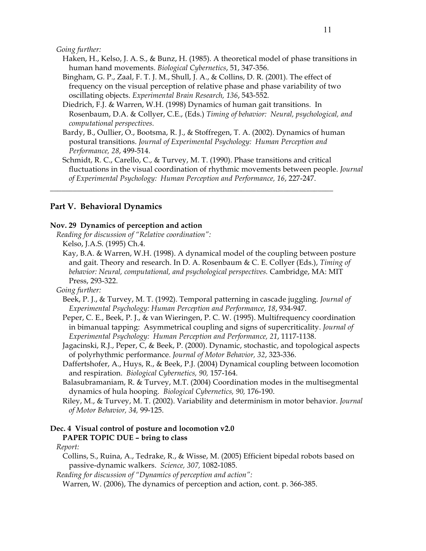*Going further:*

- Haken, H., Kelso, J. A. S., & Bunz, H. (1985). A theoretical model of phase transitions in human hand movements. *Biological Cybernetics*, 51, 347-356.
- Bingham, G. P., Zaal, F. T. J. M., Shull, J. A., & Collins, D. R. (2001). The effect of frequency on the visual perception of relative phase and phase variability of two oscillating objects. *Experimental Brain Research, 136*, 543-552.
- Diedrich, F.J. & Warren, W.H. (1998) Dynamics of human gait transitions. In Rosenbaum, D.A. & Collyer, C.E., (Eds.) *Timing of behavior: Neural, psychological, and computational perspectives.*
- Bardy, B., Oullier, O., Bootsma, R. J., & Stoffregen, T. A. (2002). Dynamics of human postural transitions. *Journal of Experimental Psychology: Human Perception and Performance, 28*, 499-514.

\_\_\_\_\_\_\_\_\_\_\_\_\_\_\_\_\_\_\_\_\_\_\_\_\_\_\_\_\_\_\_\_\_\_\_\_\_\_\_\_\_\_\_\_\_\_\_\_\_\_\_\_\_\_\_\_\_\_\_\_\_\_\_\_\_\_\_\_\_\_\_\_\_\_

Schmidt, R. C., Carello, C., & Turvey, M. T. (1990). Phase transitions and critical fluctuations in the visual coordination of rhythmic movements between people. *Journal of Experimental Psychology: Human Perception and Performance, 16*, 227-247.

## **Part V. Behavioral Dynamics**

### **Nov. 29 Dynamics of perception and action**

- *Reading for discussion of "Relative coordination":* Kelso, J.A.S. (1995) Ch.4.
	- Kay, B.A. & Warren, W.H. (1998). A dynamical model of the coupling between posture and gait. Theory and research. In D. A. Rosenbaum & C. E. Collyer (Eds.), *Timing of behavior: Neural, computational, and psychological perspectives.* Cambridge, MA: MIT Press, 293-322.

## *Going further:*

- Beek, P. J., & Turvey, M. T. (1992). Temporal patterning in cascade juggling. *Journal of Experimental Psychology: Human Perception and Performance, 18*, 934-947.
- Peper, C. E., Beek, P. J., & van Wieringen, P. C. W. (1995). Multifrequency coordination in bimanual tapping: Asymmetrical coupling and signs of supercriticality. *Journal of Experimental Psychology: Human Perception and Performance, 21*, 1117-1138.
- Jagacinski, R.J., Peper, C, & Beek, P. (2000). Dynamic, stochastic, and topological aspects of polyrhythmic performance. *Journal of Motor Behavior, 32*, 323-336.
- Daffertshofer, A., Huys, R., & Beek, P.J. (2004) Dynamical coupling between locomotion and respiration. *Biological Cybernetics, 90,* 157-164.
- Balasubramaniam, R. & Turvey, M.T. (2004) Coordination modes in the multisegmental dynamics of hula hooping. *Biological Cybernetics, 90,* 176-190.
- Riley, M., & Turvey, M. T. (2002). Variability and determinism in motor behavior. *Journal of Motor Behavior, 34,* 99-125.

### **Dec. 4 Visual control of posture and locomotion v2.0 PAPER TOPIC DUE – bring to class**

### *Report:*

Collins, S., Ruina, A., Tedrake, R., & Wisse, M. (2005) Efficient bipedal robots based on passive-dynamic walkers. *Science, 307,* 1082-1085.

*Reading for discussion of "Dynamics of perception and action":*

Warren, W. (2006), The dynamics of perception and action, cont. p. 366-385.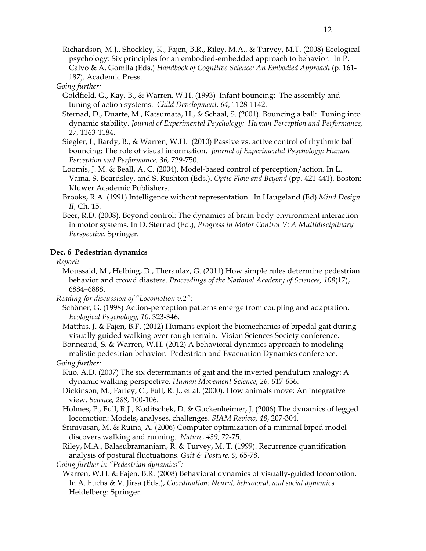Richardson, M.J., Shockley, K., Fajen, B.R., Riley, M.A., & Turvey, M.T. (2008) Ecological psychology: Six principles for an embodied-embedded approach to behavior. In P. Calvo & A. Gomila (Eds.) *Handbook of Cognitive Science: An Embodied Approach* (p. 161- 187)*.* Academic Press.

### *Going further:*

- Goldfield, G., Kay, B., & Warren, W.H. (1993) Infant bouncing: The assembly and tuning of action systems. *Child Development, 64,* 1128-1142.
- Sternad, D., Duarte, M., Katsumata, H., & Schaal, S. (2001). Bouncing a ball: Tuning into dynamic stability. *Journal of Experimental Psychology: Human Perception and Performance, 27*, 1163-1184.
- Siegler, I., Bardy, B., & Warren, W.H. (2010) Passive vs. active control of rhythmic ball bouncing: The role of visual information. *Journal of Experimental Psychology: Human Perception and Performance, 36,* 729-750.
- Loomis, J. M. & Beall, A. C. (2004). Model-based control of perception/action. In L. Vaina, S. Beardsley, and S. Rushton (Eds.). *Optic Flow and Beyond* (pp. 421-441)*.* Boston: Kluwer Academic Publishers.
- Brooks, R.A. (1991) Intelligence without representation. In Haugeland (Ed) *Mind Design II*, Ch. 15.
- Beer, R.D. (2008). Beyond control: The dynamics of brain-body-environment interaction in motor systems. In D. Sternad (Ed.), *Progress in Motor Control V: A Multidisciplinary Perspective*. Springer.

### **Dec. 6 Pedestrian dynamics**

*Report:*

- Moussaid, M., Helbing, D., Theraulaz, G. (2011) How simple rules determine pedestrian behavior and crowd diasters. *Proceedings of the National Academy of Sciences, 108*(17), 6884–6888.
- *Reading for discussion of "Locomotion v.2":*
	- Schöner, G. (1998) Action-perception patterns emerge from coupling and adaptation. *Ecological Psychology, 10*, 323-346.
	- Matthis, J. & Fajen, B.F. (2012) Humans exploit the biomechanics of bipedal gait during visually guided walking over rough terrain. Vision Sciences Society conference.

Bonneaud, S. & Warren, W.H. (2012) A behavioral dynamics approach to modeling realistic pedestrian behavior. Pedestrian and Evacuation Dynamics conference.

*Going further:*

- Kuo, A.D. (2007) The six determinants of gait and the inverted pendulum analogy: A dynamic walking perspective. *Human Movement Science, 26,* 617-656.
- Dickinson, M., Farley, C., Full, R. J., et al. (2000). How animals move: An integrative view. *Science, 288,* 100-106.
- Holmes, P., Full, R.J., Koditschek, D. & Guckenheimer, J. (2006) The dynamics of legged locomotion: Models, analyses, challenges. *SIAM Review, 48*, 207-304.
- Srinivasan, M. & Ruina, A. (2006) Computer optimization of a minimal biped model discovers walking and running. *Nature, 439,* 72-75.
- Riley, M.A., Balasubramaniam, R. & Turvey, M. T. (1999). Recurrence quantification analysis of postural fluctuations. *Gait & Posture, 9,* 65-78.

*Going further in "Pedestrian dynamics":*

Warren, W.H. & Fajen, B.R. (2008) Behavioral dynamics of visually-guided locomotion. In A. Fuchs & V. Jirsa (Eds.), *Coordination: Neural, behavioral, and social dynamics.* Heidelberg: Springer.